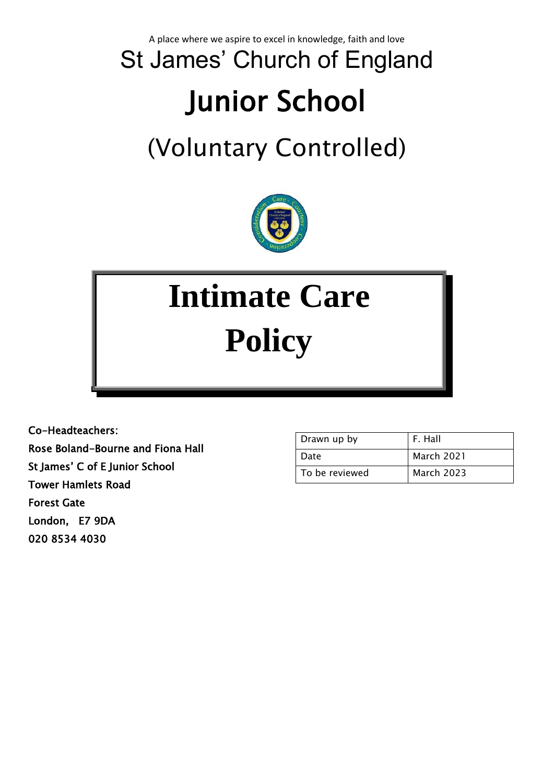A place where we aspire to excel in knowledge, faith and love

## St James' Church of England Junior School

### (Voluntary Controlled)



# **Intimate Care Policy**

Co-Headteachers: Rose Boland-Bourne and Fiona Hall St James' C of E Junior School Tower Hamlets Road Forest Gate London, E7 9DA 020 8534 4030

| Drawn up by    | F. Hall           |
|----------------|-------------------|
| Date           | <b>March 2021</b> |
| To be reviewed | <b>March 2023</b> |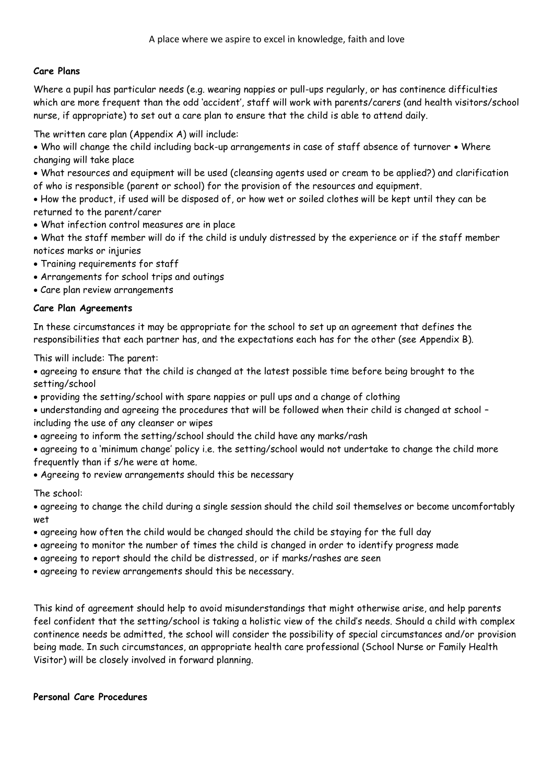#### **Care Plans**

Where a pupil has particular needs (e.g. wearing nappies or pull-ups regularly, or has continence difficulties which are more frequent than the odd 'accident', staff will work with parents/carers (and health visitors/school nurse, if appropriate) to set out a care plan to ensure that the child is able to attend daily.

The written care plan (Appendix A) will include:

- Who will change the child including back-up arrangements in case of staff absence of turnover Where changing will take place
- What resources and equipment will be used (cleansing agents used or cream to be applied?) and clarification of who is responsible (parent or school) for the provision of the resources and equipment.
- How the product, if used will be disposed of, or how wet or soiled clothes will be kept until they can be returned to the parent/carer
- What infection control measures are in place
- What the staff member will do if the child is unduly distressed by the experience or if the staff member notices marks or injuries
- Training requirements for staff
- Arrangements for school trips and outings
- Care plan review arrangements

#### **Care Plan Agreements**

In these circumstances it may be appropriate for the school to set up an agreement that defines the responsibilities that each partner has, and the expectations each has for the other (see Appendix B).

This will include: The parent:

• agreeing to ensure that the child is changed at the latest possible time before being brought to the setting/school

• providing the setting/school with spare nappies or pull ups and a change of clothing

• understanding and agreeing the procedures that will be followed when their child is changed at school – including the use of any cleanser or wipes

- agreeing to inform the setting/school should the child have any marks/rash
- agreeing to a 'minimum change' policy i.e. the setting/school would not undertake to change the child more frequently than if s/he were at home.
- Agreeing to review arrangements should this be necessary

#### The school:

• agreeing to change the child during a single session should the child soil themselves or become uncomfortably wet

- agreeing how often the child would be changed should the child be staying for the full day
- agreeing to monitor the number of times the child is changed in order to identify progress made
- agreeing to report should the child be distressed, or if marks/rashes are seen
- agreeing to review arrangements should this be necessary.

This kind of agreement should help to avoid misunderstandings that might otherwise arise, and help parents feel confident that the setting/school is taking a holistic view of the child's needs. Should a child with complex continence needs be admitted, the school will consider the possibility of special circumstances and/or provision being made. In such circumstances, an appropriate health care professional (School Nurse or Family Health Visitor) will be closely involved in forward planning.

#### **Personal Care Procedures**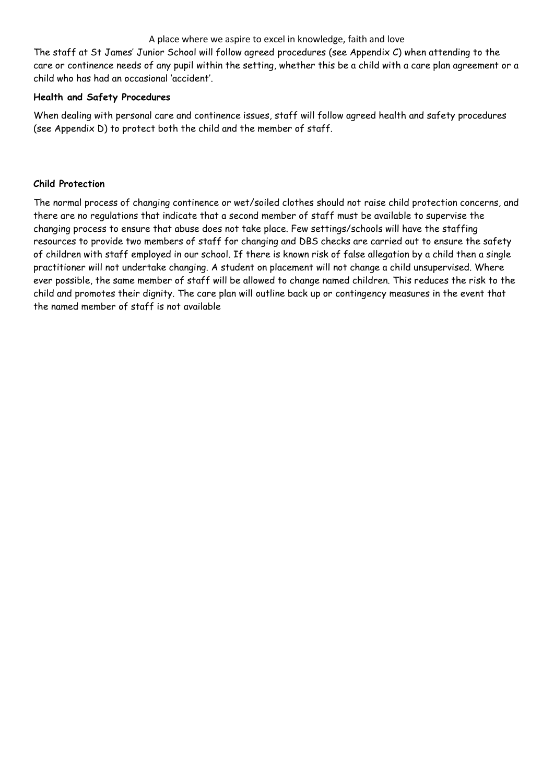#### A place where we aspire to excel in knowledge, faith and love

The staff at St James' Junior School will follow agreed procedures (see Appendix C) when attending to the care or continence needs of any pupil within the setting, whether this be a child with a care plan agreement or a child who has had an occasional 'accident'.

#### **Health and Safety Procedures**

When dealing with personal care and continence issues, staff will follow agreed health and safety procedures (see Appendix D) to protect both the child and the member of staff.

#### **Child Protection**

The normal process of changing continence or wet/soiled clothes should not raise child protection concerns, and there are no regulations that indicate that a second member of staff must be available to supervise the changing process to ensure that abuse does not take place. Few settings/schools will have the staffing resources to provide two members of staff for changing and DBS checks are carried out to ensure the safety of children with staff employed in our school. If there is known risk of false allegation by a child then a single practitioner will not undertake changing. A student on placement will not change a child unsupervised. Where ever possible, the same member of staff will be allowed to change named children. This reduces the risk to the child and promotes their dignity. The care plan will outline back up or contingency measures in the event that the named member of staff is not available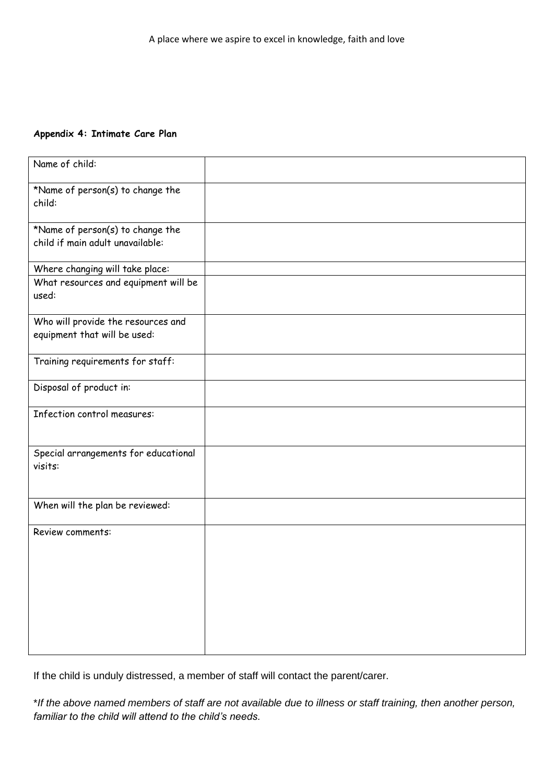#### **Appendix 4: Intimate Care Plan**

| Name of child:                                                       |  |
|----------------------------------------------------------------------|--|
| *Name of person(s) to change the<br>child:                           |  |
| *Name of person(s) to change the<br>child if main adult unavailable: |  |
| Where changing will take place:                                      |  |
| What resources and equipment will be<br>used:                        |  |
| Who will provide the resources and<br>equipment that will be used:   |  |
| Training requirements for staff:                                     |  |
| Disposal of product in:                                              |  |
| Infection control measures:                                          |  |
| Special arrangements for educational<br>visits:                      |  |
| When will the plan be reviewed:                                      |  |
| Review comments:                                                     |  |

If the child is unduly distressed, a member of staff will contact the parent/carer.

\**If the above named members of staff are not available due to illness or staff training, then another person, familiar to the child will attend to the child's needs.*